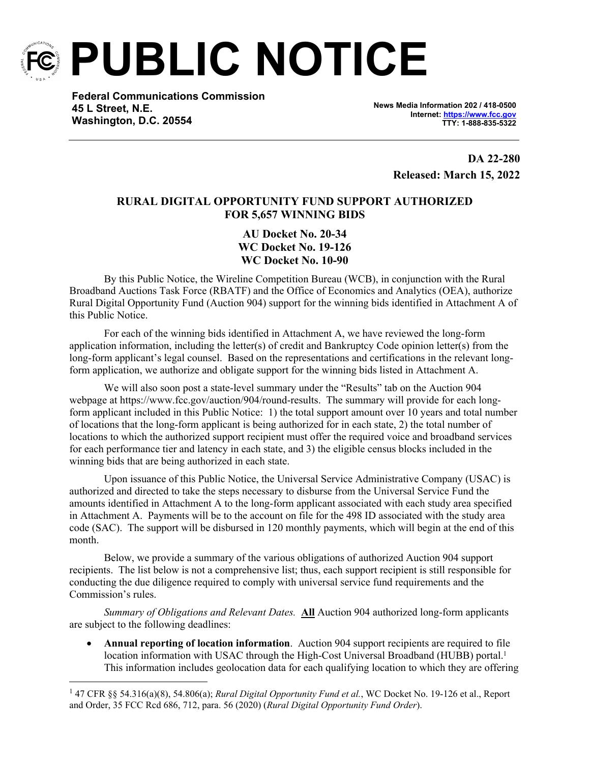

**PUBLIC NOTICE**

**Federal Communications Commission 45 L Street, N.E. Washington, D.C. 20554**

**News Media Information 202 / 418-0500 Internet:<https://www.fcc.gov> TTY: 1-888-835-5322**

> **DA 22-280 Released: March 15, 2022**

# **RURAL DIGITAL OPPORTUNITY FUND SUPPORT AUTHORIZED FOR 5,657 WINNING BIDS**

**AU Docket No. 20-34 WC Docket No. 19-126 WC Docket No. 10-90**

By this Public Notice, the Wireline Competition Bureau (WCB), in conjunction with the Rural Broadband Auctions Task Force (RBATF) and the Office of Economics and Analytics (OEA), authorize Rural Digital Opportunity Fund (Auction 904) support for the winning bids identified in Attachment A of this Public Notice.

For each of the winning bids identified in Attachment A, we have reviewed the long-form application information, including the letter(s) of credit and Bankruptcy Code opinion letter(s) from the long-form applicant's legal counsel. Based on the representations and certifications in the relevant longform application, we authorize and obligate support for the winning bids listed in Attachment A.

We will also soon post a state-level summary under the "Results" tab on the Auction 904 webpage at https://www.fcc.gov/auction/904/round-results. The summary will provide for each longform applicant included in this Public Notice: 1) the total support amount over 10 years and total number of locations that the long-form applicant is being authorized for in each state, 2) the total number of locations to which the authorized support recipient must offer the required voice and broadband services for each performance tier and latency in each state, and 3) the eligible census blocks included in the winning bids that are being authorized in each state.

Upon issuance of this Public Notice, the Universal Service Administrative Company (USAC) is authorized and directed to take the steps necessary to disburse from the Universal Service Fund the amounts identified in Attachment A to the long-form applicant associated with each study area specified in Attachment A. Payments will be to the account on file for the 498 ID associated with the study area code (SAC). The support will be disbursed in 120 monthly payments, which will begin at the end of this month.

Below, we provide a summary of the various obligations of authorized Auction 904 support recipients. The list below is not a comprehensive list; thus, each support recipient is still responsible for conducting the due diligence required to comply with universal service fund requirements and the Commission's rules.

*Summary of Obligations and Relevant Dates.* **All** Auction 904 authorized long-form applicants are subject to the following deadlines:

 **Annual reporting of location information**. Auction 904 support recipients are required to file location information with USAC through the High-Cost Universal Broadband (HUBB) portal.<sup>1</sup> This information includes geolocation data for each qualifying location to which they are offering

<sup>1</sup> 47 CFR §§ 54.316(a)(8), 54.806(a); *Rural Digital Opportunity Fund et al.*, WC Docket No. 19-126 et al., Report and Order, 35 FCC Rcd 686, 712, para. 56 (2020) (*Rural Digital Opportunity Fund Order*).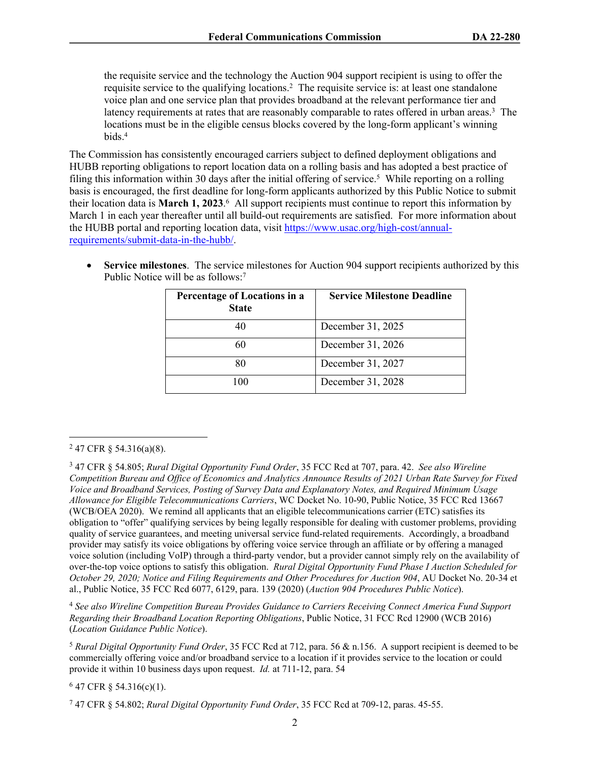the requisite service and the technology the Auction 904 support recipient is using to offer the requisite service to the qualifying locations.<sup>2</sup> The requisite service is: at least one standalone voice plan and one service plan that provides broadband at the relevant performance tier and latency requirements at rates that are reasonably comparable to rates offered in urban areas.<sup>3</sup> The locations must be in the eligible census blocks covered by the long-form applicant's winning bids.<sup>4</sup>

The Commission has consistently encouraged carriers subject to defined deployment obligations and HUBB reporting obligations to report location data on a rolling basis and has adopted a best practice of filing this information within 30 days after the initial offering of service.<sup>5</sup> While reporting on a rolling basis is encouraged, the first deadline for long-form applicants authorized by this Public Notice to submit their location data is **March 1, 2023**. 6 All support recipients must continue to report this information by March 1 in each year thereafter until all build-out requirements are satisfied. For more information about the HUBB portal and reporting location data, visit [https://www.usac.org/high-cost/annual](https://www.usac.org/high-cost/annual-requirements/submit-data-in-the-hubb/)[requirements/submit-data-in-the-hubb/](https://www.usac.org/high-cost/annual-requirements/submit-data-in-the-hubb/).

 **Service milestones**. The service milestones for Auction 904 support recipients authorized by this Public Notice will be as follows:<sup>7</sup>

| Percentage of Locations in a<br><b>State</b> | <b>Service Milestone Deadline</b> |
|----------------------------------------------|-----------------------------------|
| 40                                           | December 31, 2025                 |
|                                              | December 31, 2026                 |
| 80                                           | December 31, 2027                 |
| 100                                          | December 31, 2028                 |

<sup>4</sup> *See also Wireline Competition Bureau Provides Guidance to Carriers Receiving Connect America Fund Support Regarding their Broadband Location Reporting Obligations*, Public Notice, 31 FCC Rcd 12900 (WCB 2016) (*Location Guidance Public Notice*).

<sup>5</sup> *Rural Digital Opportunity Fund Order*, 35 FCC Rcd at 712, para. 56 & n.156. A support recipient is deemed to be commercially offering voice and/or broadband service to a location if it provides service to the location or could provide it within 10 business days upon request. *Id.* at 711-12, para. 54

 $647$  CFR § 54.316(c)(1).

 $247$  CFR § 54.316(a)(8).

<sup>3</sup> 47 CFR § 54.805; *Rural Digital Opportunity Fund Order*, 35 FCC Rcd at 707, para. 42. *See also Wireline Competition Bureau and Office of Economics and Analytics Announce Results of 2021 Urban Rate Survey for Fixed Voice and Broadband Services, Posting of Survey Data and Explanatory Notes, and Required Minimum Usage Allowance for Eligible Telecommunications Carriers*, WC Docket No. 10-90, Public Notice, 35 FCC Rcd 13667 (WCB/OEA 2020). We remind all applicants that an eligible telecommunications carrier (ETC) satisfies its obligation to "offer" qualifying services by being legally responsible for dealing with customer problems, providing quality of service guarantees, and meeting universal service fund-related requirements. Accordingly, a broadband provider may satisfy its voice obligations by offering voice service through an affiliate or by offering a managed voice solution (including VoIP) through a third-party vendor, but a provider cannot simply rely on the availability of over-the-top voice options to satisfy this obligation. *Rural Digital Opportunity Fund Phase I Auction Scheduled for October 29, 2020; Notice and Filing Requirements and Other Procedures for Auction 904*, AU Docket No. 20-34 et al., Public Notice, 35 FCC Rcd 6077, 6129, para. 139 (2020) (*Auction 904 Procedures Public Notice*).

<sup>7</sup> 47 CFR § 54.802; *Rural Digital Opportunity Fund Order*, 35 FCC Rcd at 709-12, paras. 45-55.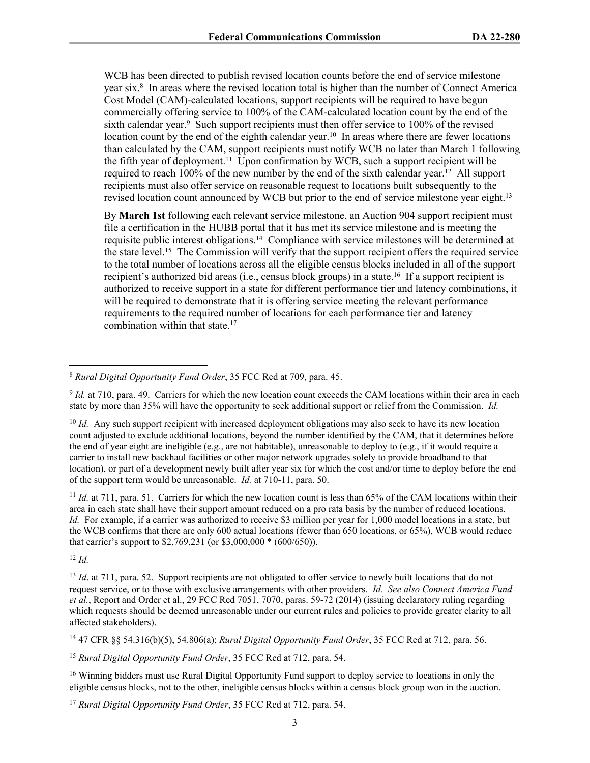WCB has been directed to publish revised location counts before the end of service milestone year six.<sup>8</sup> In areas where the revised location total is higher than the number of Connect America Cost Model (CAM)-calculated locations, support recipients will be required to have begun commercially offering service to 100% of the CAM-calculated location count by the end of the sixth calendar year.<sup>9</sup> Such support recipients must then offer service to 100% of the revised location count by the end of the eighth calendar year.<sup>10</sup> In areas where there are fewer locations than calculated by the CAM, support recipients must notify WCB no later than March 1 following the fifth year of deployment.<sup>11</sup> Upon confirmation by WCB, such a support recipient will be required to reach  $100\%$  of the new number by the end of the sixth calendar year.<sup>12</sup> All support recipients must also offer service on reasonable request to locations built subsequently to the revised location count announced by WCB but prior to the end of service milestone year eight.<sup>13</sup>

By **March 1st** following each relevant service milestone, an Auction 904 support recipient must file a certification in the HUBB portal that it has met its service milestone and is meeting the requisite public interest obligations.<sup>14</sup> Compliance with service milestones will be determined at the state level.<sup>15</sup> The Commission will verify that the support recipient offers the required service to the total number of locations across all the eligible census blocks included in all of the support recipient's authorized bid areas (i.e., census block groups) in a state.<sup>16</sup> If a support recipient is authorized to receive support in a state for different performance tier and latency combinations, it will be required to demonstrate that it is offering service meeting the relevant performance requirements to the required number of locations for each performance tier and latency combination within that state.<sup>17</sup>

<sup>9</sup> *Id.* at 710, para. 49. Carriers for which the new location count exceeds the CAM locations within their area in each state by more than 35% will have the opportunity to seek additional support or relief from the Commission. *Id.*

<sup>10</sup> *Id.* Any such support recipient with increased deployment obligations may also seek to have its new location count adjusted to exclude additional locations, beyond the number identified by the CAM, that it determines before the end of year eight are ineligible (e.g., are not habitable), unreasonable to deploy to (e.g., if it would require a carrier to install new backhaul facilities or other major network upgrades solely to provide broadband to that location), or part of a development newly built after year six for which the cost and/or time to deploy before the end of the support term would be unreasonable. *Id.* at 710-11, para. 50.

<sup>11</sup> *Id.* at 711, para. 51. Carriers for which the new location count is less than 65% of the CAM locations within their area in each state shall have their support amount reduced on a pro rata basis by the number of reduced locations. *Id.* For example, if a carrier was authorized to receive \$3 million per year for 1,000 model locations in a state, but the WCB confirms that there are only 600 actual locations (fewer than 650 locations, or 65%), WCB would reduce that carrier's support to \$2,769,231 (or \$3,000,000 \* (600/650)).

<sup>12</sup> *Id.*

<sup>13</sup> *Id.* at 711, para. 52. Support recipients are not obligated to offer service to newly built locations that do not request service, or to those with exclusive arrangements with other providers. *Id. See also Connect America Fund et al.*, Report and Order et al., 29 FCC Rcd 7051, 7070, paras. 59-72 (2014) (issuing declaratory ruling regarding which requests should be deemed unreasonable under our current rules and policies to provide greater clarity to all affected stakeholders).

<sup>14</sup> 47 CFR §§ 54.316(b)(5), 54.806(a); *Rural Digital Opportunity Fund Order*, 35 FCC Rcd at 712, para. 56.

<sup>15</sup> *Rural Digital Opportunity Fund Order*, 35 FCC Rcd at 712, para. 54.

<sup>16</sup> Winning bidders must use Rural Digital Opportunity Fund support to deploy service to locations in only the eligible census blocks, not to the other, ineligible census blocks within a census block group won in the auction.

<sup>17</sup> *Rural Digital Opportunity Fund Order*, 35 FCC Rcd at 712, para. 54.

<sup>8</sup> *Rural Digital Opportunity Fund Order*, 35 FCC Rcd at 709, para. 45.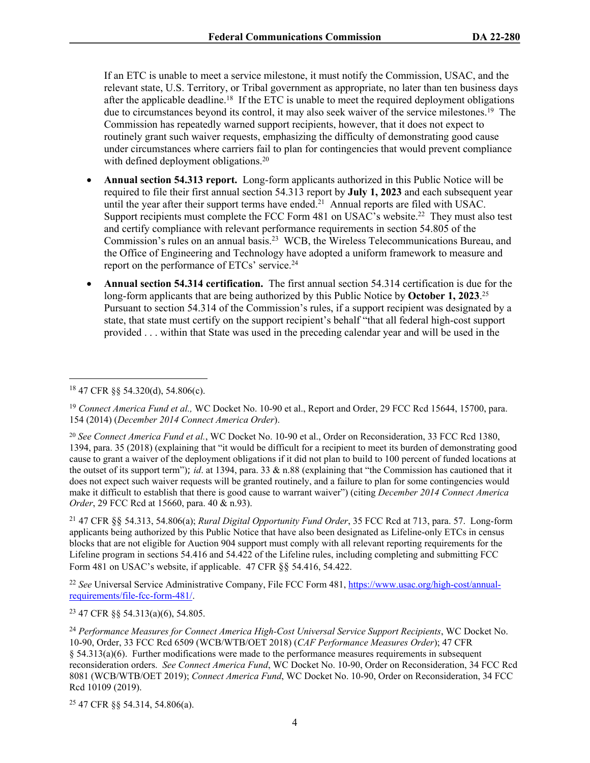If an ETC is unable to meet a service milestone, it must notify the Commission, USAC, and the relevant state, U.S. Territory, or Tribal government as appropriate, no later than ten business days after the applicable deadline.<sup>18</sup> If the ETC is unable to meet the required deployment obligations due to circumstances beyond its control, it may also seek waiver of the service milestones.<sup>19</sup> The Commission has repeatedly warned support recipients, however, that it does not expect to routinely grant such waiver requests, emphasizing the difficulty of demonstrating good cause under circumstances where carriers fail to plan for contingencies that would prevent compliance with defined deployment obligations.<sup>20</sup>

- **Annual section 54.313 report.** Long-form applicants authorized in this Public Notice will be required to file their first annual section 54.313 report by **July 1, 2023** and each subsequent year until the year after their support terms have ended.<sup>21</sup> Annual reports are filed with USAC. Support recipients must complete the FCC Form 481 on USAC's website.<sup>22</sup> They must also test and certify compliance with relevant performance requirements in section 54.805 of the Commission's rules on an annual basis.<sup>23</sup> WCB, the Wireless Telecommunications Bureau, and the Office of Engineering and Technology have adopted a uniform framework to measure and report on the performance of ETCs' service.<sup>24</sup>
- **Annual section 54.314 certification.** The first annual section 54.314 certification is due for the long-form applicants that are being authorized by this Public Notice by **October 1, 2023**. 25 Pursuant to section 54.314 of the Commission's rules, if a support recipient was designated by a state, that state must certify on the support recipient's behalf "that all federal high-cost support provided . . . within that State was used in the preceding calendar year and will be used in the

<sup>21</sup> 47 CFR §§ 54.313, 54.806(a); *Rural Digital Opportunity Fund Order*, 35 FCC Rcd at 713, para. 57. Long-form applicants being authorized by this Public Notice that have also been designated as Lifeline-only ETCs in census blocks that are not eligible for Auction 904 support must comply with all relevant reporting requirements for the Lifeline program in sections 54.416 and 54.422 of the Lifeline rules, including completing and submitting FCC Form 481 on USAC's website, if applicable. 47 CFR §§ 54.416, 54.422.

<sup>22</sup> *See* Universal Service Administrative Company, File FCC Form 481, [https://www.usac.org/high-cost/annual](https://www.usac.org/high-cost/annual-requirements/file-fcc-form-481/)[requirements/file-fcc-form-481/.](https://www.usac.org/high-cost/annual-requirements/file-fcc-form-481/)

<sup>23</sup> 47 CFR §§ 54.313(a)(6), 54.805.

25 47 CFR §§ 54.314, 54.806(a).

<sup>18</sup> 47 CFR §§ 54.320(d), 54.806(c).

<sup>&</sup>lt;sup>19</sup> Connect America Fund et al., WC Docket No. 10-90 et al., Report and Order, 29 FCC Rcd 15644, 15700, para. 154 (2014) (*December 2014 Connect America Order*).

<sup>20</sup> *See Connect America Fund et al.*, WC Docket No. 10-90 et al., Order on Reconsideration, 33 FCC Rcd 1380, 1394, para. 35 (2018) (explaining that "it would be difficult for a recipient to meet its burden of demonstrating good cause to grant a waiver of the deployment obligations if it did not plan to build to 100 percent of funded locations at the outset of its support term"); *id*. at 1394, para. 33 & n.88 (explaining that "the Commission has cautioned that it does not expect such waiver requests will be granted routinely, and a failure to plan for some contingencies would make it difficult to establish that there is good cause to warrant waiver") (citing *December 2014 Connect America Order*, 29 FCC Rcd at 15660, para. 40 & n.93).

<sup>24</sup> *Performance Measures for Connect America High-Cost Universal Service Support Recipients*, WC Docket No. 10-90, Order, 33 FCC Rcd 6509 (WCB/WTB/OET 2018) (*CAF Performance Measures Order*); 47 CFR § 54.313(a)(6). Further modifications were made to the performance measures requirements in subsequent reconsideration orders. *See Connect America Fund*, WC Docket No. 10-90, Order on Reconsideration, 34 FCC Rcd 8081 (WCB/WTB/OET 2019); *Connect America Fund*, WC Docket No. 10-90, Order on Reconsideration, 34 FCC Rcd 10109 (2019).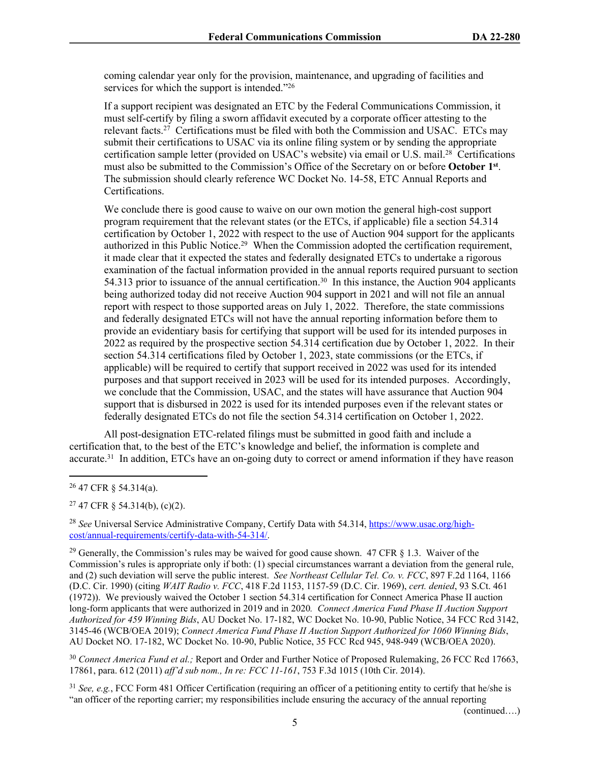coming calendar year only for the provision, maintenance, and upgrading of facilities and services for which the support is intended."26

If a support recipient was designated an ETC by the Federal Communications Commission, it must self-certify by filing a sworn affidavit executed by a corporate officer attesting to the relevant facts.<sup>27</sup> Certifications must be filed with both the Commission and USAC. ETCs may submit their certifications to USAC via its online filing system or by sending the appropriate certification sample letter (provided on USAC's website) via email or U.S. mail.<sup>28</sup> Certifications must also be submitted to the Commission's Office of the Secretary on or before **October 1st** . The submission should clearly reference WC Docket No. 14-58, ETC Annual Reports and Certifications.

We conclude there is good cause to waive on our own motion the general high-cost support program requirement that the relevant states (or the ETCs, if applicable) file a section 54.314 certification by October 1, 2022 with respect to the use of Auction 904 support for the applicants authorized in this Public Notice.<sup>29</sup> When the Commission adopted the certification requirement, it made clear that it expected the states and federally designated ETCs to undertake a rigorous examination of the factual information provided in the annual reports required pursuant to section 54.313 prior to issuance of the annual certification.<sup>30</sup> In this instance, the Auction 904 applicants being authorized today did not receive Auction 904 support in 2021 and will not file an annual report with respect to those supported areas on July 1, 2022. Therefore, the state commissions and federally designated ETCs will not have the annual reporting information before them to provide an evidentiary basis for certifying that support will be used for its intended purposes in 2022 as required by the prospective section 54.314 certification due by October 1, 2022. In their section 54.314 certifications filed by October 1, 2023, state commissions (or the ETCs, if applicable) will be required to certify that support received in 2022 was used for its intended purposes and that support received in 2023 will be used for its intended purposes. Accordingly, we conclude that the Commission, USAC, and the states will have assurance that Auction 904 support that is disbursed in 2022 is used for its intended purposes even if the relevant states or federally designated ETCs do not file the section 54.314 certification on October 1, 2022.

All post-designation ETC-related filings must be submitted in good faith and include a certification that, to the best of the ETC's knowledge and belief, the information is complete and accurate.<sup>31</sup> In addition, ETCs have an on-going duty to correct or amend information if they have reason

 $27$  47 CFR § 54.314(b), (c)(2).

<sup>28</sup> *See* Universal Service Administrative Company, Certify Data with 54.314, [https://www.usac.org/high](https://www.usac.org/high-cost/annual-requirements/certify-data-with-54-314/)[cost/annual-requirements/certify-data-with-54-314/](https://www.usac.org/high-cost/annual-requirements/certify-data-with-54-314/).

 $29$  Generally, the Commission's rules may be waived for good cause shown. 47 CFR  $\S$  1.3. Waiver of the Commission's rules is appropriate only if both: (1) special circumstances warrant a deviation from the general rule, and (2) such deviation will serve the public interest. *See Northeast Cellular Tel. Co. v. FCC*, 897 F.2d 1164, 1166 (D.C. Cir. 1990) (citing *WAIT Radio v. FCC*, 418 F.2d 1153, 1157-59 (D.C. Cir. 1969), *cert. denied*, 93 S.Ct. 461 (1972)). We previously waived the October 1 section 54.314 certification for Connect America Phase II auction long-form applicants that were authorized in 2019 and in 2020*. Connect America Fund Phase II Auction Support Authorized for 459 Winning Bids*, AU Docket No. 17-182, WC Docket No. 10-90, Public Notice, 34 FCC Rcd 3142, 3145-46 (WCB/OEA 2019); *Connect America Fund Phase II Auction Support Authorized for 1060 Winning Bids*, AU Docket NO. 17-182, WC Docket No. 10-90, Public Notice, 35 FCC Rcd 945, 948-949 (WCB/OEA 2020).

<sup>30</sup> *Connect America Fund et al.;* Report and Order and Further Notice of Proposed Rulemaking, 26 FCC Rcd 17663, 17861, para. 612 (2011) *aff'd sub nom., In re: FCC 11-161*, 753 F.3d 1015 (10th Cir. 2014).

<sup>31</sup> *See, e.g.*, FCC Form 481 Officer Certification (requiring an officer of a petitioning entity to certify that he/she is "an officer of the reporting carrier; my responsibilities include ensuring the accuracy of the annual reporting

(continued….)

<sup>26</sup> 47 CFR § 54.314(a).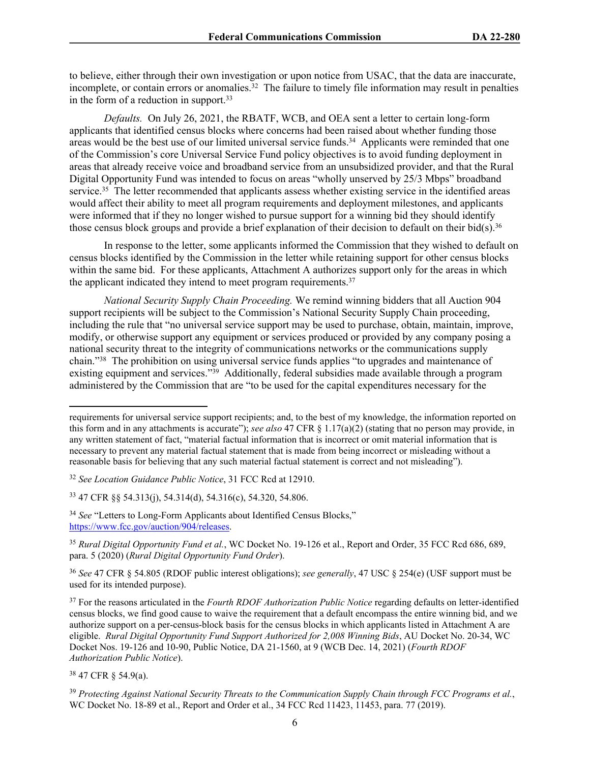to believe, either through their own investigation or upon notice from USAC, that the data are inaccurate, incomplete, or contain errors or anomalies. $32$  The failure to timely file information may result in penalties in the form of a reduction in support.<sup>33</sup>

*Defaults.* On July 26, 2021, the RBATF, WCB, and OEA sent a letter to certain long-form applicants that identified census blocks where concerns had been raised about whether funding those areas would be the best use of our limited universal service funds.<sup>34</sup> Applicants were reminded that one of the Commission's core Universal Service Fund policy objectives is to avoid funding deployment in areas that already receive voice and broadband service from an unsubsidized provider, and that the Rural Digital Opportunity Fund was intended to focus on areas "wholly unserved by 25/3 Mbps" broadband service.<sup>35</sup> The letter recommended that applicants assess whether existing service in the identified areas would affect their ability to meet all program requirements and deployment milestones, and applicants were informed that if they no longer wished to pursue support for a winning bid they should identify those census block groups and provide a brief explanation of their decision to default on their bid(s).<sup>36</sup>

In response to the letter, some applicants informed the Commission that they wished to default on census blocks identified by the Commission in the letter while retaining support for other census blocks within the same bid. For these applicants, Attachment A authorizes support only for the areas in which the applicant indicated they intend to meet program requirements.<sup>37</sup>

*National Security Supply Chain Proceeding.* We remind winning bidders that all Auction 904 support recipients will be subject to the Commission's National Security Supply Chain proceeding, including the rule that "no universal service support may be used to purchase, obtain, maintain, improve, modify, or otherwise support any equipment or services produced or provided by any company posing a national security threat to the integrity of communications networks or the communications supply chain."<sup>38</sup> The prohibition on using universal service funds applies "to upgrades and maintenance of existing equipment and services."<sup>39</sup> Additionally, federal subsidies made available through a program administered by the Commission that are "to be used for the capital expenditures necessary for the

<sup>38</sup> 47 CFR § 54.9(a).

requirements for universal service support recipients; and, to the best of my knowledge, the information reported on this form and in any attachments is accurate"); *see also* 47 CFR § 1.17(a)(2) (stating that no person may provide, in any written statement of fact, "material factual information that is incorrect or omit material information that is necessary to prevent any material factual statement that is made from being incorrect or misleading without a reasonable basis for believing that any such material factual statement is correct and not misleading").

<sup>32</sup> *See Location Guidance Public Notice*, 31 FCC Rcd at 12910.

<sup>33</sup> 47 CFR §§ 54.313(j), 54.314(d), 54.316(c), 54.320, 54.806.

<sup>&</sup>lt;sup>34</sup> See "Letters to Long-Form Applicants about Identified Census Blocks," <https://www.fcc.gov/auction/904/releases>.

<sup>35</sup> *Rural Digital Opportunity Fund et al.*, WC Docket No. 19-126 et al., Report and Order, 35 FCC Rcd 686, 689, para. 5 (2020) (*Rural Digital Opportunity Fund Order*).

<sup>36</sup> *See* 47 CFR § 54.805 (RDOF public interest obligations); *see generally*, 47 USC § 254(e) (USF support must be used for its intended purpose).

<sup>37</sup> For the reasons articulated in the *Fourth RDOF Authorization Public Notice* regarding defaults on letter-identified census blocks, we find good cause to waive the requirement that a default encompass the entire winning bid, and we authorize support on a per-census-block basis for the census blocks in which applicants listed in Attachment A are eligible. *Rural Digital Opportunity Fund Support Authorized for 2,008 Winning Bids*, AU Docket No. 20-34, WC Docket Nos. 19-126 and 10-90, Public Notice, DA 21-1560, at 9 (WCB Dec. 14, 2021) (*Fourth RDOF Authorization Public Notice*).

<sup>39</sup> *Protecting Against National Security Threats to the Communication Supply Chain through FCC Programs et al.*, WC Docket No. 18-89 et al., Report and Order et al., 34 FCC Rcd 11423, 11453, para. 77 (2019).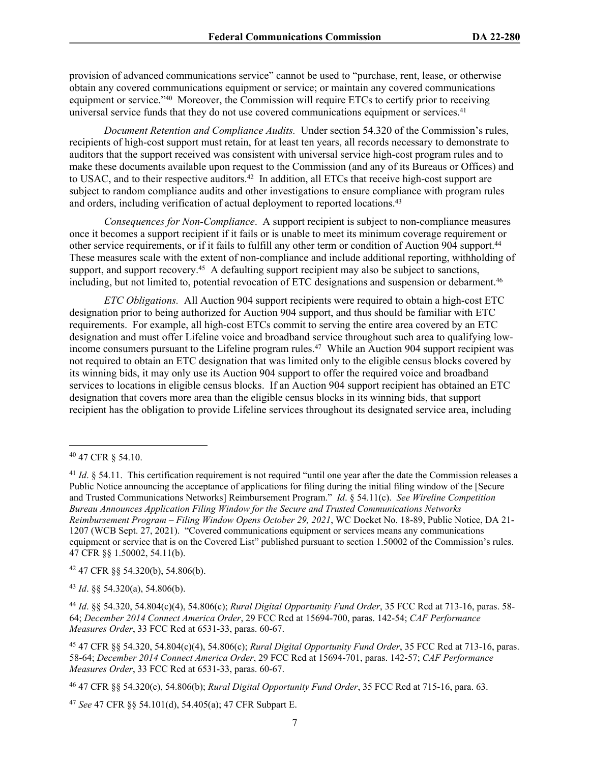provision of advanced communications service" cannot be used to "purchase, rent, lease, or otherwise obtain any covered communications equipment or service; or maintain any covered communications equipment or service."<sup>40</sup> Moreover, the Commission will require ETCs to certify prior to receiving universal service funds that they do not use covered communications equipment or services.<sup>41</sup>

*Document Retention and Compliance Audits.* Under section 54.320 of the Commission's rules, recipients of high-cost support must retain, for at least ten years, all records necessary to demonstrate to auditors that the support received was consistent with universal service high-cost program rules and to make these documents available upon request to the Commission (and any of its Bureaus or Offices) and to USAC, and to their respective auditors.<sup>42</sup> In addition, all ETCs that receive high-cost support are subject to random compliance audits and other investigations to ensure compliance with program rules and orders, including verification of actual deployment to reported locations.<sup>43</sup>

*Consequences for Non-Compliance*. A support recipient is subject to non-compliance measures once it becomes a support recipient if it fails or is unable to meet its minimum coverage requirement or other service requirements, or if it fails to fulfill any other term or condition of Auction 904 support.<sup>44</sup> These measures scale with the extent of non-compliance and include additional reporting, withholding of support, and support recovery.<sup>45</sup> A defaulting support recipient may also be subject to sanctions, including, but not limited to, potential revocation of ETC designations and suspension or debarment.<sup>46</sup>

*ETC Obligations.* All Auction 904 support recipients were required to obtain a high-cost ETC designation prior to being authorized for Auction 904 support, and thus should be familiar with ETC requirements. For example, all high-cost ETCs commit to serving the entire area covered by an ETC designation and must offer Lifeline voice and broadband service throughout such area to qualifying lowincome consumers pursuant to the Lifeline program rules.<sup>47</sup> While an Auction 904 support recipient was not required to obtain an ETC designation that was limited only to the eligible census blocks covered by its winning bids, it may only use its Auction 904 support to offer the required voice and broadband services to locations in eligible census blocks. If an Auction 904 support recipient has obtained an ETC designation that covers more area than the eligible census blocks in its winning bids, that support recipient has the obligation to provide Lifeline services throughout its designated service area, including

 $42$  47 CFR  $\S$ § 54.320(b), 54.806(b).

<sup>43</sup> *Id*. §§ 54.320(a), 54.806(b).

<sup>40</sup> 47 CFR § 54.10.

<sup>&</sup>lt;sup>41</sup> *Id.* § 54.11. This certification requirement is not required "until one year after the date the Commission releases a Public Notice announcing the acceptance of applications for filing during the initial filing window of the [Secure and Trusted Communications Networks] Reimbursement Program." *Id*. § 54.11(c). *See Wireline Competition Bureau Announces Application Filing Window for the Secure and Trusted Communications Networks Reimbursement Program – Filing Window Opens October 29, 2021*, WC Docket No. 18-89, Public Notice, DA 21- 1207 (WCB Sept. 27, 2021). "Covered communications equipment or services means any communications equipment or service that is on the Covered List" published pursuant to section 1.50002 of the Commission's rules. 47 CFR §§ 1.50002, 54.11(b).

<sup>44</sup> *Id*. §§ 54.320, 54.804(c)(4), 54.806(c); *Rural Digital Opportunity Fund Order*, 35 FCC Rcd at 713-16, paras. 58- 64; *December 2014 Connect America Order*, 29 FCC Rcd at 15694-700, paras. 142-54; *CAF Performance Measures Order*, 33 FCC Rcd at 6531-33, paras. 60-67.

<sup>45</sup> 47 CFR §§ 54.320, 54.804(c)(4), 54.806(c); *Rural Digital Opportunity Fund Order*, 35 FCC Rcd at 713-16, paras. 58-64; *December 2014 Connect America Order*, 29 FCC Rcd at 15694-701, paras. 142-57; *CAF Performance Measures Order*, 33 FCC Rcd at 6531-33, paras. 60-67.

<sup>46</sup> 47 CFR §§ 54.320(c), 54.806(b); *Rural Digital Opportunity Fund Order*, 35 FCC Rcd at 715-16, para. 63.

<sup>47</sup> *See* 47 CFR §§ 54.101(d), 54.405(a); 47 CFR Subpart E.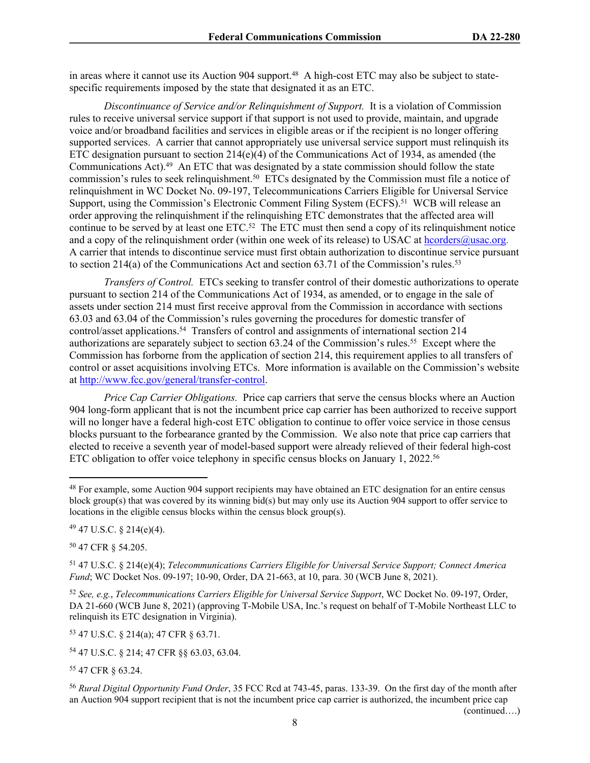in areas where it cannot use its Auction 904 support.<sup>48</sup> A high-cost ETC may also be subject to statespecific requirements imposed by the state that designated it as an ETC.

*Discontinuance of Service and/or Relinquishment of Support.* It is a violation of Commission rules to receive universal service support if that support is not used to provide, maintain, and upgrade voice and/or broadband facilities and services in eligible areas or if the recipient is no longer offering supported services. A carrier that cannot appropriately use universal service support must relinquish its ETC designation pursuant to section  $214(e)(4)$  of the Communications Act of 1934, as amended (the Communications Act).<sup>49</sup> An ETC that was designated by a state commission should follow the state commission's rules to seek relinquishment.<sup>50</sup> ETCs designated by the Commission must file a notice of relinquishment in WC Docket No. 09-197, Telecommunications Carriers Eligible for Universal Service Support, using the Commission's Electronic Comment Filing System (ECFS).<sup>51</sup> WCB will release an order approving the relinquishment if the relinquishing ETC demonstrates that the affected area will continue to be served by at least one ETC.<sup>52</sup> The ETC must then send a copy of its relinquishment notice and a copy of the relinquishment order (within one week of its release) to USAC at [hcorders@usac.org](mailto:hcorders@usac.org). A carrier that intends to discontinue service must first obtain authorization to discontinue service pursuant to section  $214(a)$  of the Communications Act and section 63.71 of the Commission's rules.<sup>53</sup>

*Transfers of Control.* ETCs seeking to transfer control of their domestic authorizations to operate pursuant to section 214 of the Communications Act of 1934, as amended, or to engage in the sale of assets under section 214 must first receive approval from the Commission in accordance with sections 63.03 and 63.04 of the Commission's rules governing the procedures for domestic transfer of control/asset applications.<sup>54</sup> Transfers of control and assignments of international section 214 authorizations are separately subject to section 63.24 of the Commission's rules.<sup>55</sup> Except where the Commission has forborne from the application of section 214, this requirement applies to all transfers of control or asset acquisitions involving ETCs. More information is available on the Commission's website at <http://www.fcc.gov/general/transfer-control>.

*Price Cap Carrier Obligations.* Price cap carriers that serve the census blocks where an Auction 904 long-form applicant that is not the incumbent price cap carrier has been authorized to receive support will no longer have a federal high-cost ETC obligation to continue to offer voice service in those census blocks pursuant to the forbearance granted by the Commission. We also note that price cap carriers that elected to receive a seventh year of model-based support were already relieved of their federal high-cost ETC obligation to offer voice telephony in specific census blocks on January 1, 2022.<sup>56</sup>

<sup>50</sup> 47 CFR § 54.205.

<sup>51</sup> 47 U.S.C. § 214(e)(4); *Telecommunications Carriers Eligible for Universal Service Support; Connect America Fund*; WC Docket Nos. 09-197; 10-90, Order, DA 21-663, at 10, para. 30 (WCB June 8, 2021).

<sup>52</sup> *See, e.g.*, *Telecommunications Carriers Eligible for Universal Service Support*, WC Docket No. 09-197, Order, DA 21-660 (WCB June 8, 2021) (approving T-Mobile USA, Inc.'s request on behalf of T-Mobile Northeast LLC to relinquish its ETC designation in Virginia).

<sup>53</sup> 47 U.S.C. § 214(a); 47 CFR § 63.71.

<sup>54</sup> 47 U.S.C. § 214; 47 CFR §§ 63.03, 63.04.

<sup>55</sup> 47 CFR § 63.24.

<sup>56</sup> *Rural Digital Opportunity Fund Order*, 35 FCC Rcd at 743-45, paras. 133-39. On the first day of the month after an Auction 904 support recipient that is not the incumbent price cap carrier is authorized, the incumbent price cap

(continued….)

<sup>48</sup> For example, some Auction 904 support recipients may have obtained an ETC designation for an entire census block group(s) that was covered by its winning bid(s) but may only use its Auction 904 support to offer service to locations in the eligible census blocks within the census block group(s).

<sup>49</sup> 47 U.S.C. § 214(e)(4).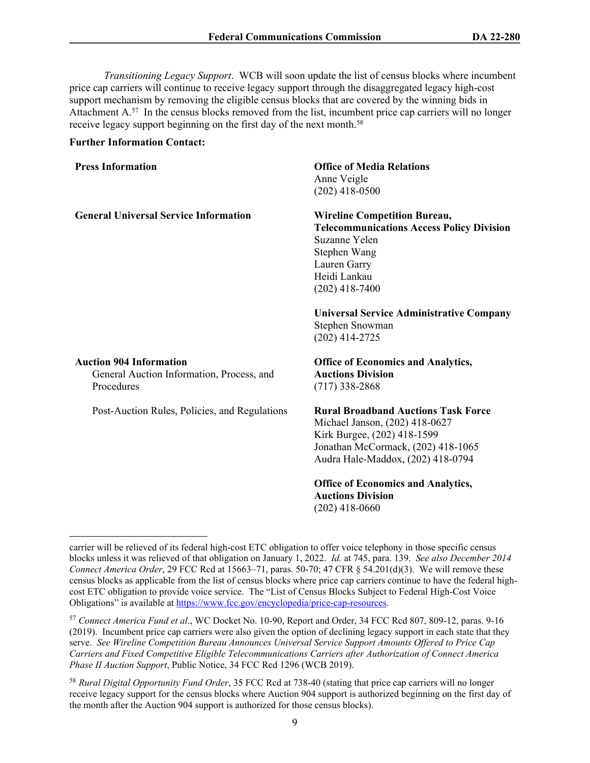*Transitioning Legacy Support*. WCB will soon update the list of census blocks where incumbent price cap carriers will continue to receive legacy support through the disaggregated legacy high-cost support mechanism by removing the eligible census blocks that are covered by the winning bids in Attachment A.<sup>57</sup> In the census blocks removed from the list, incumbent price cap carriers will no longer receive legacy support beginning on the first day of the next month.<sup>58</sup>

## **Further Information Contact:**

| <b>Press Information</b>                                                                  | <b>Office of Media Relations</b><br>Anne Veigle<br>$(202)$ 418-0500                                                                                                                    |
|-------------------------------------------------------------------------------------------|----------------------------------------------------------------------------------------------------------------------------------------------------------------------------------------|
| <b>General Universal Service Information</b>                                              | <b>Wireline Competition Bureau,</b><br><b>Telecommunications Access Policy Division</b><br>Suzanne Yelen<br>Stephen Wang<br>Lauren Garry<br>Heidi Lankau<br>$(202)$ 418-7400           |
|                                                                                           | <b>Universal Service Administrative Company</b><br>Stephen Snowman<br>$(202)$ 414-2725                                                                                                 |
| <b>Auction 904 Information</b><br>General Auction Information, Process, and<br>Procedures | <b>Office of Economics and Analytics,</b><br><b>Auctions Division</b><br>$(717)$ 338-2868                                                                                              |
| Post-Auction Rules, Policies, and Regulations                                             | <b>Rural Broadband Auctions Task Force</b><br>Michael Janson, (202) 418-0627<br>Kirk Burgee, (202) 418-1599<br>Jonathan McCormack, (202) 418-1065<br>Audra Hale-Maddox, (202) 418-0794 |
|                                                                                           | <b>Office of Economics and Analytics,</b><br><b>Auctions Division</b><br>$(202)$ 418-0660                                                                                              |

carrier will be relieved of its federal high-cost ETC obligation to offer voice telephony in those specific census blocks unless it was relieved of that obligation on January 1, 2022. *Id.* at 745, para. 139. *See also December 2014 Connect America Order*, 29 FCC Rcd at 15663–71, paras. 50-70; 47 CFR § 54.201(d)(3). We will remove these census blocks as applicable from the list of census blocks where price cap carriers continue to have the federal highcost ETC obligation to provide voice service. The "List of Census Blocks Subject to Federal High-Cost Voice Obligations" is available at<https://www.fcc.gov/encyclopedia/price-cap-resources>.

<sup>57</sup> *Connect America Fund et al*., WC Docket No. 10-90, Report and Order, 34 FCC Rcd 807, 809-12, paras. 9-16 (2019). Incumbent price cap carriers were also given the option of declining legacy support in each state that they serve. *See Wireline Competition Bureau Announces Universal Service Support Amounts Offered to Price Cap Carriers and Fixed Competitive Eligible Telecommunications Carriers after Authorization of Connect America Phase II Auction Support*, Public Notice, 34 FCC Rcd 1296 (WCB 2019).

<sup>58</sup> *Rural Digital Opportunity Fund Order*, 35 FCC Rcd at 738-40 (stating that price cap carriers will no longer receive legacy support for the census blocks where Auction 904 support is authorized beginning on the first day of the month after the Auction 904 support is authorized for those census blocks).